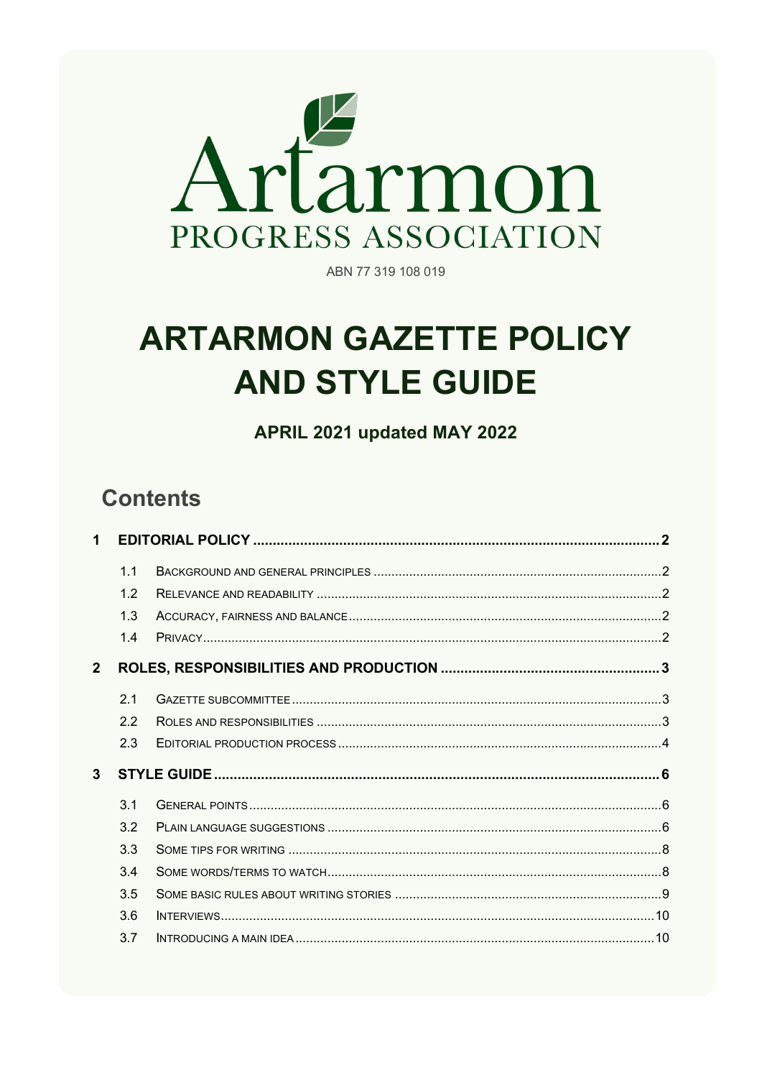

ABN 77 319 108 019

# **ARTARMON GAZETTE POLICY AND STYLE GUIDE**

APRIL 2021 updated MAY 2022

# **Contents**

| 1              |                |  |  |
|----------------|----------------|--|--|
|                | 1.1            |  |  |
|                | 1.2            |  |  |
|                | 1.3            |  |  |
|                | 1.4            |  |  |
| 2 <sup>1</sup> |                |  |  |
|                | 21             |  |  |
|                | 22             |  |  |
|                | 2.3            |  |  |
| $\mathbf{3}$   |                |  |  |
|                | 3 <sub>1</sub> |  |  |
|                | 3.2            |  |  |
|                | 33             |  |  |
|                | 34             |  |  |
|                | 3.5            |  |  |
|                | 3.6            |  |  |
|                | 3.7            |  |  |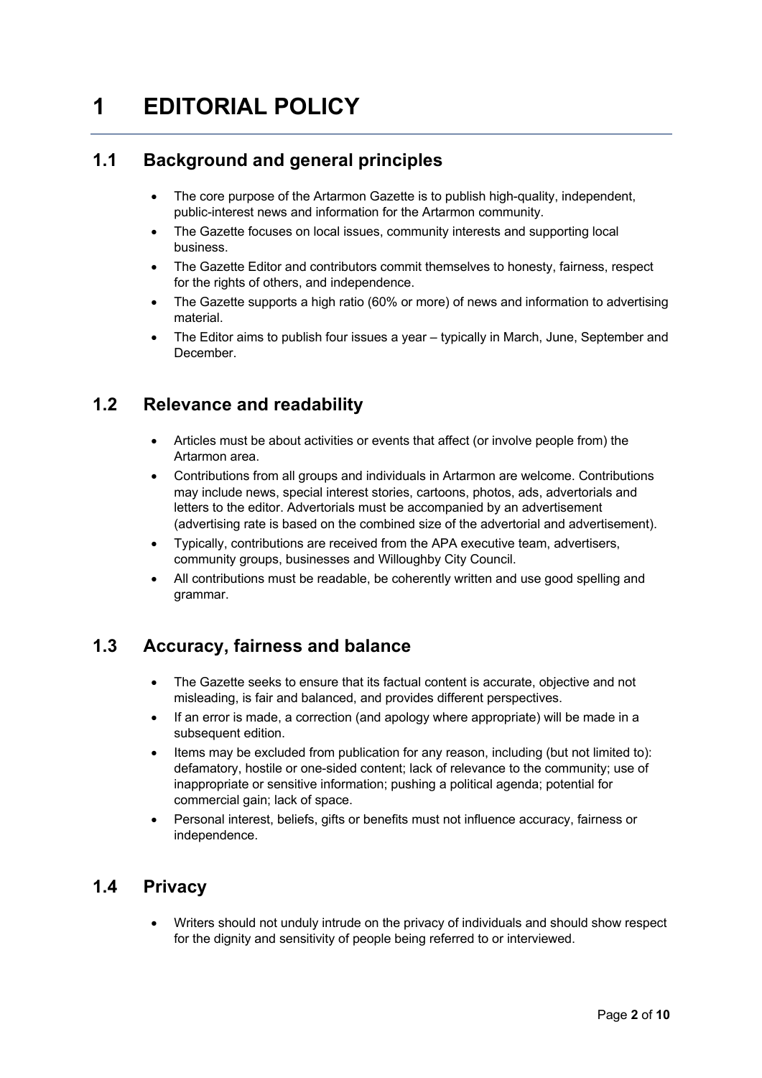# **1 EDITORIAL POLICY**

# **1.1 Background and general principles**

- The core purpose of the Artarmon Gazette is to publish high-quality, independent, public-interest news and information for the Artarmon community.
- The Gazette focuses on local issues, community interests and supporting local business.
- The Gazette Editor and contributors commit themselves to honesty, fairness, respect for the rights of others, and independence.
- The Gazette supports a high ratio (60% or more) of news and information to advertising material.
- The Editor aims to publish four issues a year typically in March, June, September and December.

## **1.2 Relevance and readability**

- Articles must be about activities or events that affect (or involve people from) the Artarmon area.
- Contributions from all groups and individuals in Artarmon are welcome. Contributions may include news, special interest stories, cartoons, photos, ads, advertorials and letters to the editor. Advertorials must be accompanied by an advertisement (advertising rate is based on the combined size of the advertorial and advertisement).
- Typically, contributions are received from the APA executive team, advertisers, community groups, businesses and Willoughby City Council.
- All contributions must be readable, be coherently written and use good spelling and grammar.

## **1.3 Accuracy, fairness and balance**

- The Gazette seeks to ensure that its factual content is accurate, objective and not misleading, is fair and balanced, and provides different perspectives.
- If an error is made, a correction (and apology where appropriate) will be made in a subsequent edition.
- Items may be excluded from publication for any reason, including (but not limited to): defamatory, hostile or one-sided content; lack of relevance to the community; use of inappropriate or sensitive information; pushing a political agenda; potential for commercial gain; lack of space.
- Personal interest, beliefs, gifts or benefits must not influence accuracy, fairness or independence.

#### **1.4 Privacy**

• Writers should not unduly intrude on the privacy of individuals and should show respect for the dignity and sensitivity of people being referred to or interviewed.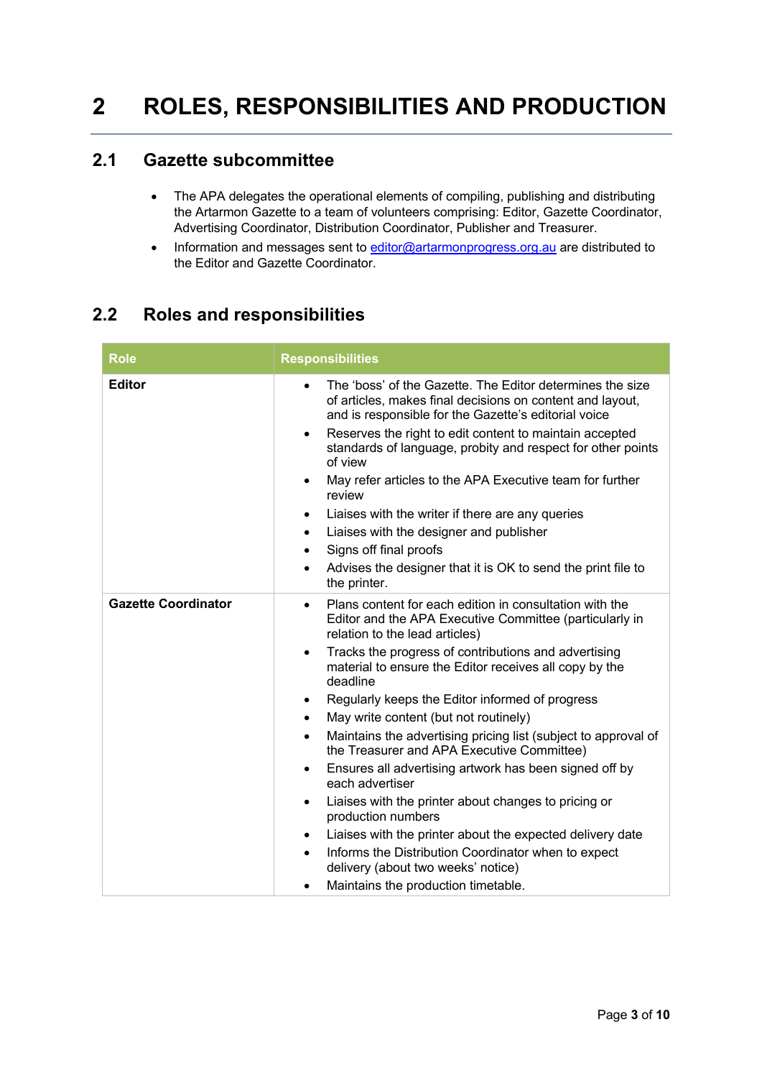# **2 ROLES, RESPONSIBILITIES AND PRODUCTION**

#### **2.1 Gazette subcommittee**

- The APA delegates the operational elements of compiling, publishing and distributing the Artarmon Gazette to a team of volunteers comprising: Editor, Gazette Coordinator, Advertising Coordinator, Distribution Coordinator, Publisher and Treasurer.
- Information and messages sent to editor@artarmonprogress.org.au are distributed to the Editor and Gazette Coordinator.

#### **2.2 Roles and responsibilities**

| Role                       | <b>Responsibilities</b>                                                                                                                                                                                                                                                                                                                                                                                                                                                                                                                                                                                                                                                                                                                                                                                                                                                                                                                                                              |
|----------------------------|--------------------------------------------------------------------------------------------------------------------------------------------------------------------------------------------------------------------------------------------------------------------------------------------------------------------------------------------------------------------------------------------------------------------------------------------------------------------------------------------------------------------------------------------------------------------------------------------------------------------------------------------------------------------------------------------------------------------------------------------------------------------------------------------------------------------------------------------------------------------------------------------------------------------------------------------------------------------------------------|
| <b>Editor</b>              | The 'boss' of the Gazette. The Editor determines the size<br>$\bullet$<br>of articles, makes final decisions on content and layout,<br>and is responsible for the Gazette's editorial voice<br>Reserves the right to edit content to maintain accepted<br>$\bullet$<br>standards of language, probity and respect for other points<br>of view<br>May refer articles to the APA Executive team for further<br>$\bullet$<br>review<br>Liaises with the writer if there are any queries<br>٠<br>Liaises with the designer and publisher<br>$\bullet$<br>Signs off final proofs<br>$\bullet$<br>Advises the designer that it is OK to send the print file to<br>$\bullet$<br>the printer.                                                                                                                                                                                                                                                                                                |
| <b>Gazette Coordinator</b> | Plans content for each edition in consultation with the<br>$\bullet$<br>Editor and the APA Executive Committee (particularly in<br>relation to the lead articles)<br>Tracks the progress of contributions and advertising<br>$\bullet$<br>material to ensure the Editor receives all copy by the<br>deadline<br>Regularly keeps the Editor informed of progress<br>$\bullet$<br>May write content (but not routinely)<br>$\bullet$<br>Maintains the advertising pricing list (subject to approval of<br>$\bullet$<br>the Treasurer and APA Executive Committee)<br>Ensures all advertising artwork has been signed off by<br>$\bullet$<br>each advertiser<br>Liaises with the printer about changes to pricing or<br>$\bullet$<br>production numbers<br>Liaises with the printer about the expected delivery date<br>$\bullet$<br>Informs the Distribution Coordinator when to expect<br>$\bullet$<br>delivery (about two weeks' notice)<br>Maintains the production timetable.<br>٠ |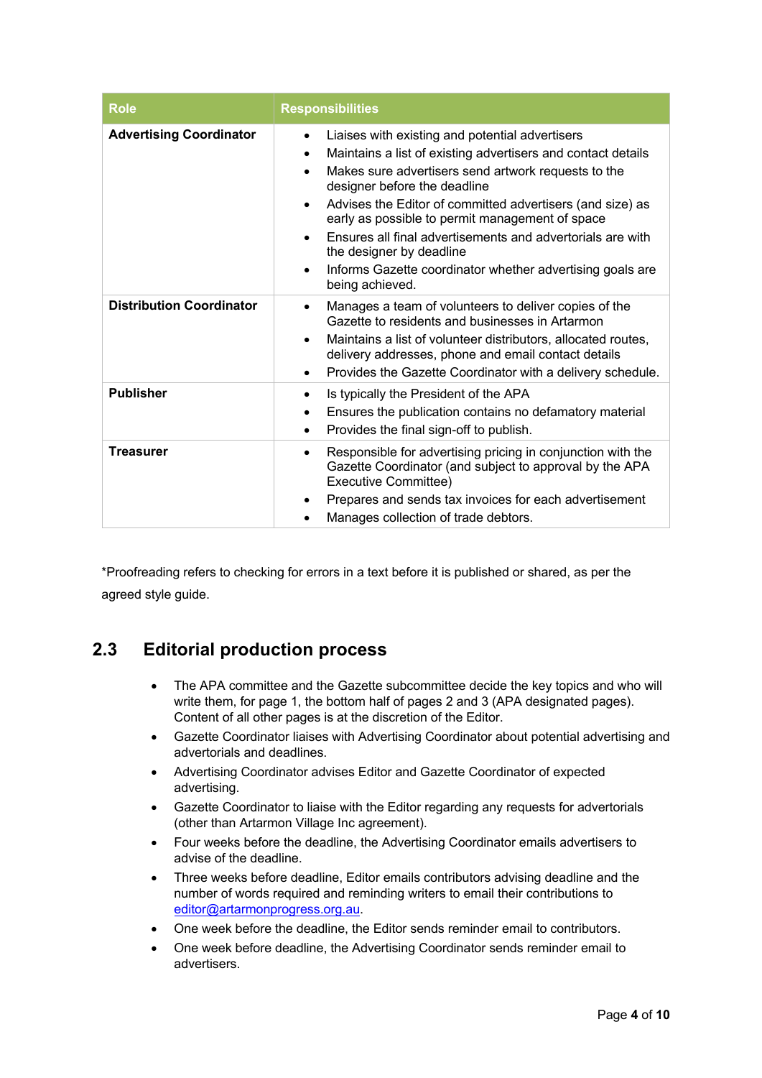| <b>Role</b>                     | <b>Responsibilities</b>                                                                                                                                                                                                                                                                                                                                                                                                                                                                                                                                           |  |
|---------------------------------|-------------------------------------------------------------------------------------------------------------------------------------------------------------------------------------------------------------------------------------------------------------------------------------------------------------------------------------------------------------------------------------------------------------------------------------------------------------------------------------------------------------------------------------------------------------------|--|
| <b>Advertising Coordinator</b>  | Liaises with existing and potential advertisers<br>Maintains a list of existing advertisers and contact details<br>$\bullet$<br>Makes sure advertisers send artwork requests to the<br>$\bullet$<br>designer before the deadline<br>Advises the Editor of committed advertisers (and size) as<br>$\bullet$<br>early as possible to permit management of space<br>Ensures all final advertisements and advertorials are with<br>$\bullet$<br>the designer by deadline<br>Informs Gazette coordinator whether advertising goals are<br>$\bullet$<br>being achieved. |  |
| <b>Distribution Coordinator</b> | Manages a team of volunteers to deliver copies of the<br>$\bullet$<br>Gazette to residents and businesses in Artarmon<br>Maintains a list of volunteer distributors, allocated routes,<br>$\bullet$<br>delivery addresses, phone and email contact details<br>Provides the Gazette Coordinator with a delivery schedule.<br>$\bullet$                                                                                                                                                                                                                             |  |
| <b>Publisher</b>                | Is typically the President of the APA<br>٠<br>Ensures the publication contains no defamatory material<br>٠<br>Provides the final sign-off to publish.<br>$\bullet$                                                                                                                                                                                                                                                                                                                                                                                                |  |
| <b>Treasurer</b>                | Responsible for advertising pricing in conjunction with the<br>$\bullet$<br>Gazette Coordinator (and subject to approval by the APA<br>Executive Committee)<br>Prepares and sends tax invoices for each advertisement<br>٠<br>Manages collection of trade debtors.<br>$\bullet$                                                                                                                                                                                                                                                                                   |  |

\*Proofreading refers to checking for errors in a text before it is published or shared, as per the agreed style guide.

## **2.3 Editorial production process**

- The APA committee and the Gazette subcommittee decide the key topics and who will write them, for page 1, the bottom half of pages 2 and 3 (APA designated pages). Content of all other pages is at the discretion of the Editor.
- Gazette Coordinator liaises with Advertising Coordinator about potential advertising and advertorials and deadlines.
- Advertising Coordinator advises Editor and Gazette Coordinator of expected advertising.
- Gazette Coordinator to liaise with the Editor regarding any requests for advertorials (other than Artarmon Village Inc agreement).
- Four weeks before the deadline, the Advertising Coordinator emails advertisers to advise of the deadline.
- Three weeks before deadline, Editor emails contributors advising deadline and the number of words required and reminding writers to email their contributions to editor@artarmonprogress.org.au.
- One week before the deadline, the Editor sends reminder email to contributors.
- One week before deadline, the Advertising Coordinator sends reminder email to advertisers.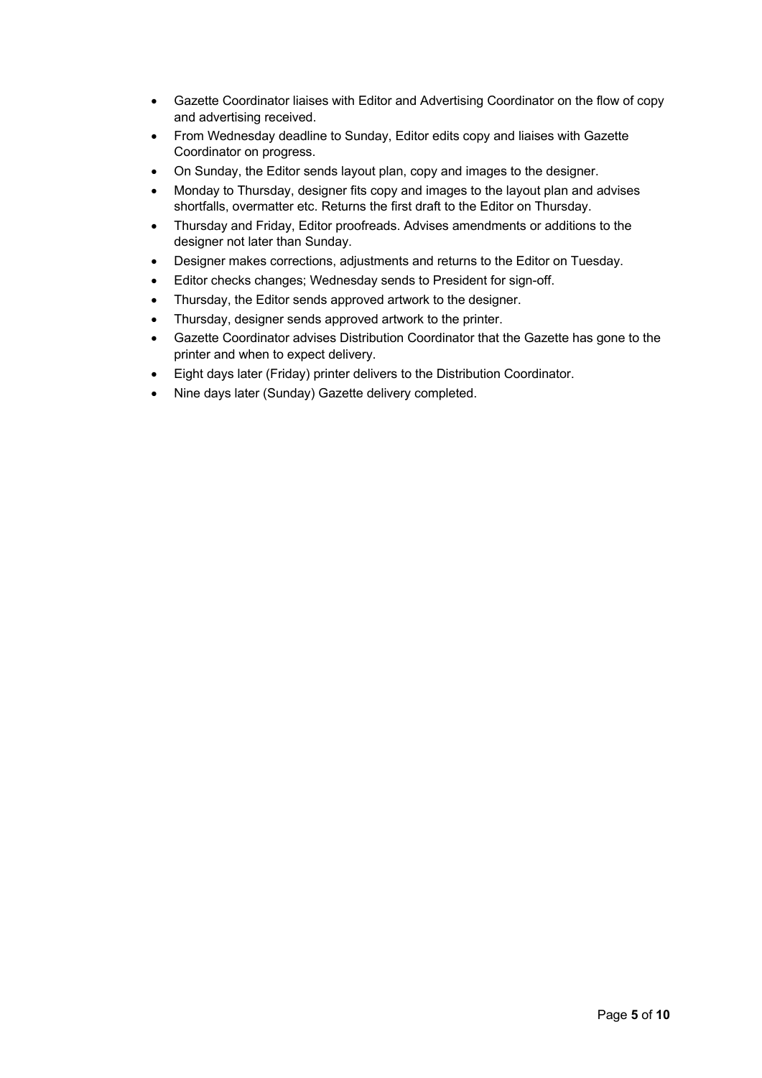- Gazette Coordinator liaises with Editor and Advertising Coordinator on the flow of copy and advertising received.
- From Wednesday deadline to Sunday, Editor edits copy and liaises with Gazette Coordinator on progress.
- On Sunday, the Editor sends layout plan, copy and images to the designer.
- Monday to Thursday, designer fits copy and images to the layout plan and advises shortfalls, overmatter etc. Returns the first draft to the Editor on Thursday.
- Thursday and Friday, Editor proofreads. Advises amendments or additions to the designer not later than Sunday.
- Designer makes corrections, adjustments and returns to the Editor on Tuesday.
- Editor checks changes; Wednesday sends to President for sign-off.
- Thursday, the Editor sends approved artwork to the designer.
- Thursday, designer sends approved artwork to the printer.
- Gazette Coordinator advises Distribution Coordinator that the Gazette has gone to the printer and when to expect delivery.
- Eight days later (Friday) printer delivers to the Distribution Coordinator.
- Nine days later (Sunday) Gazette delivery completed.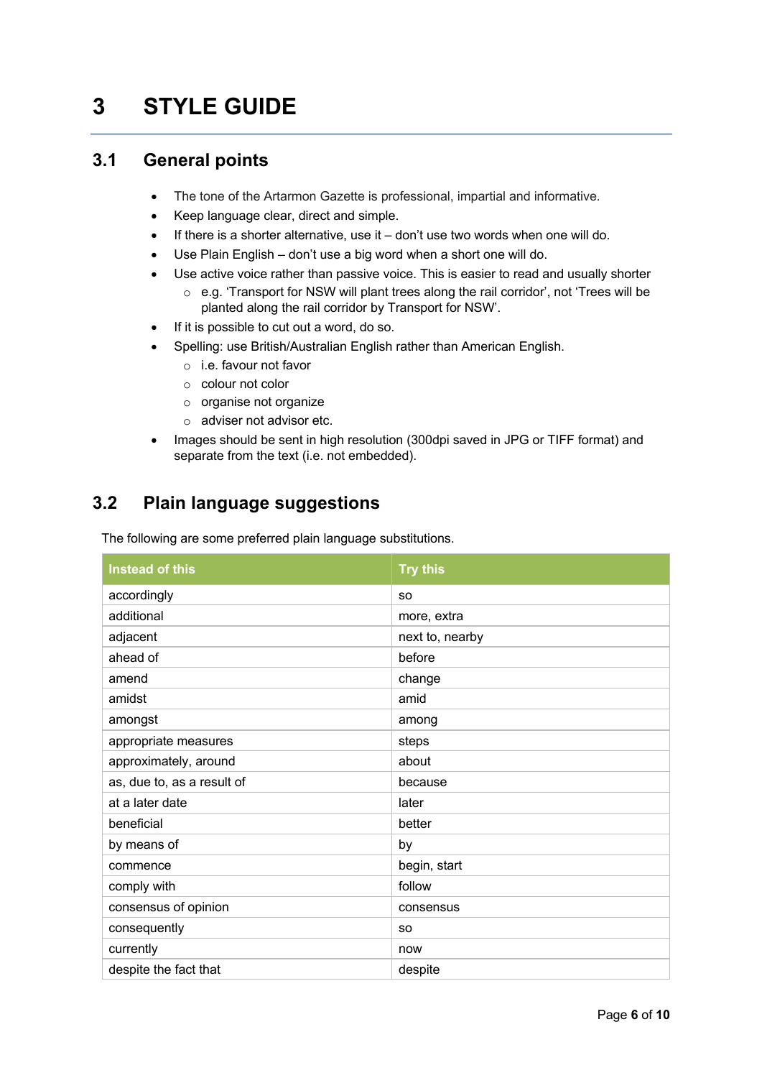# **3 STYLE GUIDE**

#### **3.1 General points**

- The tone of the Artarmon Gazette is professional, impartial and informative.
- Keep language clear, direct and simple.
- If there is a shorter alternative, use it don't use two words when one will do.
- Use Plain English don't use a big word when a short one will do.
- Use active voice rather than passive voice. This is easier to read and usually shorter
	- o e.g. 'Transport for NSW will plant trees along the rail corridor', not 'Trees will be planted along the rail corridor by Transport for NSW'.
- If it is possible to cut out a word, do so.
- Spelling: use British/Australian English rather than American English.
	- o i.e. favour not favor
	- o colour not color
	- o organise not organize
	- o adviser not advisor etc.
- Images should be sent in high resolution (300dpi saved in JPG or TIFF format) and separate from the text (i.e. not embedded).

## **3.2 Plain language suggestions**

The following are some preferred plain language substitutions.

| <b>Instead of this</b>     | <b>Try this</b> |
|----------------------------|-----------------|
| accordingly                | <b>SO</b>       |
| additional                 | more, extra     |
| adjacent                   | next to, nearby |
| ahead of                   | before          |
| amend                      | change          |
| amidst                     | amid            |
| amongst                    | among           |
| appropriate measures       | steps           |
| approximately, around      | about           |
| as, due to, as a result of | because         |
| at a later date            | later           |
| beneficial                 | better          |
| by means of                | by              |
| commence                   | begin, start    |
| comply with                | follow          |
| consensus of opinion       | consensus       |
| consequently               | <b>SO</b>       |
| currently                  | now             |
| despite the fact that      | despite         |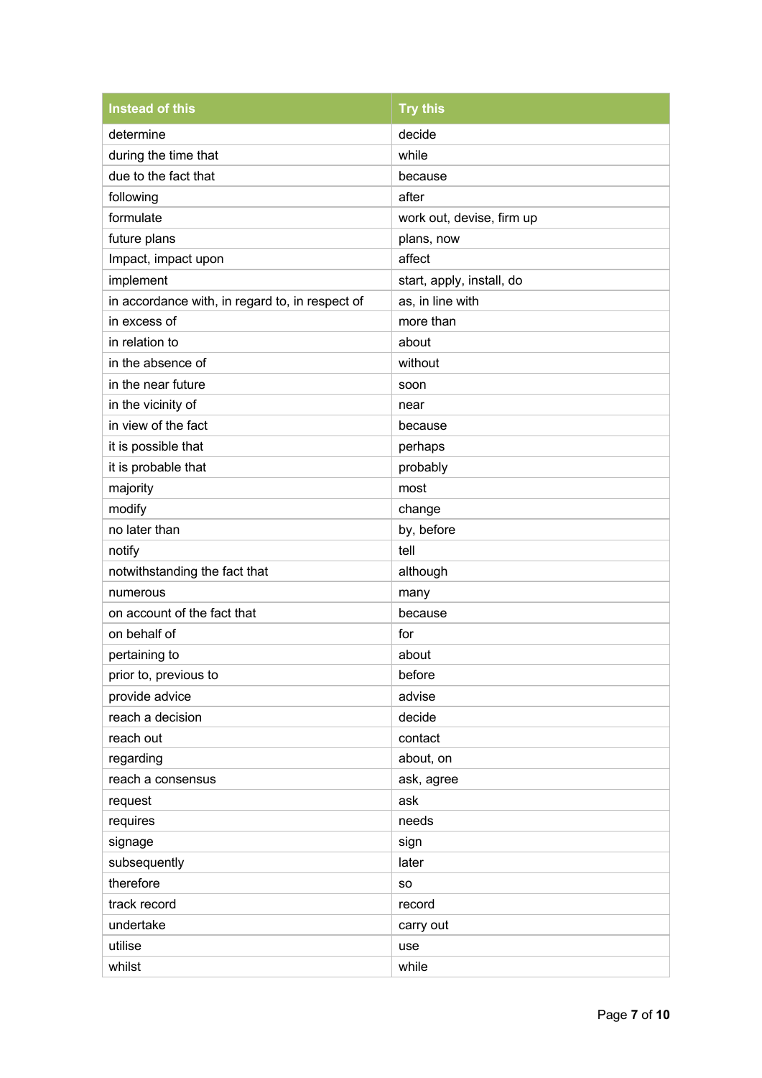| <b>Instead of this</b>                          | <b>Try this</b>           |
|-------------------------------------------------|---------------------------|
| determine                                       | decide                    |
| during the time that                            | while                     |
| due to the fact that                            | because                   |
| following                                       | after                     |
| formulate                                       | work out, devise, firm up |
| future plans                                    | plans, now                |
| Impact, impact upon                             | affect                    |
| implement                                       | start, apply, install, do |
| in accordance with, in regard to, in respect of | as, in line with          |
| in excess of                                    | more than                 |
| in relation to                                  | about                     |
| in the absence of                               | without                   |
| in the near future                              | soon                      |
| in the vicinity of                              | near                      |
| in view of the fact                             | because                   |
| it is possible that                             | perhaps                   |
| it is probable that                             | probably                  |
| majority                                        | most                      |
| modify                                          | change                    |
| no later than                                   | by, before                |
| notify                                          | tell                      |
| notwithstanding the fact that                   | although                  |
| numerous                                        | many                      |
| on account of the fact that                     | because                   |
| on behalf of                                    | for                       |
| pertaining to                                   | about                     |
| prior to, previous to                           | before                    |
| provide advice                                  | advise                    |
| reach a decision                                | decide                    |
| reach out                                       | contact                   |
| regarding                                       | about, on                 |
| reach a consensus                               | ask, agree                |
| request                                         | ask                       |
| requires                                        | needs                     |
| signage                                         | sign                      |
| subsequently                                    | later                     |
| therefore                                       | <b>SO</b>                 |
| track record                                    | record                    |
| undertake                                       | carry out                 |
| utilise                                         | use                       |
| whilst                                          | while                     |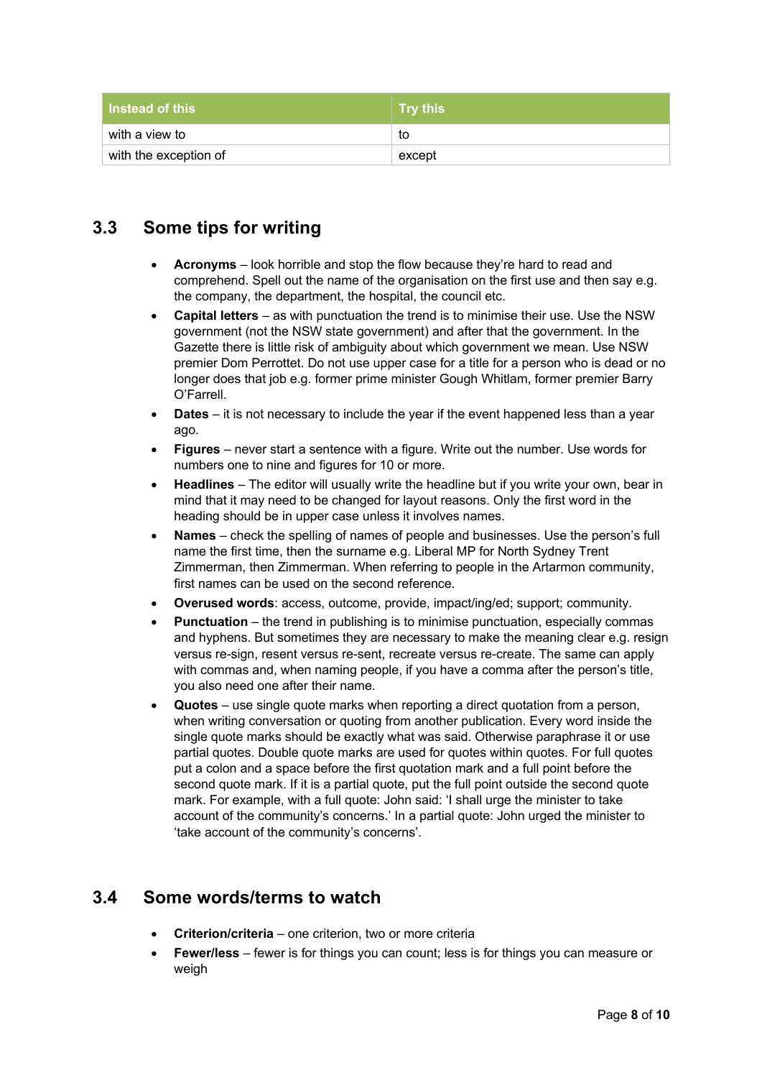| l Instead of this     | $\mid$ Trv this |
|-----------------------|-----------------|
| with a view to        | to              |
| with the exception of | except          |

#### **3.3 Some tips for writing**

- **Acronyms** look horrible and stop the flow because they're hard to read and comprehend. Spell out the name of the organisation on the first use and then say e.g. the company, the department, the hospital, the council etc.
- **Capital letters** as with punctuation the trend is to minimise their use. Use the NSW government (not the NSW state government) and after that the government. In the Gazette there is little risk of ambiguity about which government we mean. Use NSW premier Dom Perrottet. Do not use upper case for a title for a person who is dead or no longer does that job e.g. former prime minister Gough Whitlam, former premier Barry O'Farrell.
- **Dates** it is not necessary to include the year if the event happened less than a year ago.
- **Figures** never start a sentence with a figure. Write out the number. Use words for numbers one to nine and figures for 10 or more.
- **Headlines** The editor will usually write the headline but if you write your own, bear in mind that it may need to be changed for layout reasons. Only the first word in the heading should be in upper case unless it involves names.
- **Names** check the spelling of names of people and businesses. Use the person's full name the first time, then the surname e.g. Liberal MP for North Sydney Trent Zimmerman, then Zimmerman. When referring to people in the Artarmon community, first names can be used on the second reference.
- **Overused words**: access, outcome, provide, impact/ing/ed; support; community.
- **Punctuation** the trend in publishing is to minimise punctuation, especially commas and hyphens. But sometimes they are necessary to make the meaning clear e.g. resign versus re-sign, resent versus re-sent, recreate versus re-create. The same can apply with commas and, when naming people, if you have a comma after the person's title, you also need one after their name.
- **Quotes** use single quote marks when reporting a direct quotation from a person, when writing conversation or quoting from another publication. Every word inside the single quote marks should be exactly what was said. Otherwise paraphrase it or use partial quotes. Double quote marks are used for quotes within quotes. For full quotes put a colon and a space before the first quotation mark and a full point before the second quote mark. If it is a partial quote, put the full point outside the second quote mark. For example, with a full quote: John said: 'I shall urge the minister to take account of the community's concerns.' In a partial quote: John urged the minister to 'take account of the community's concerns'.

#### **3.4 Some words/terms to watch**

- **Criterion/criteria** one criterion, two or more criteria
- **Fewer/less** fewer is for things you can count; less is for things you can measure or weigh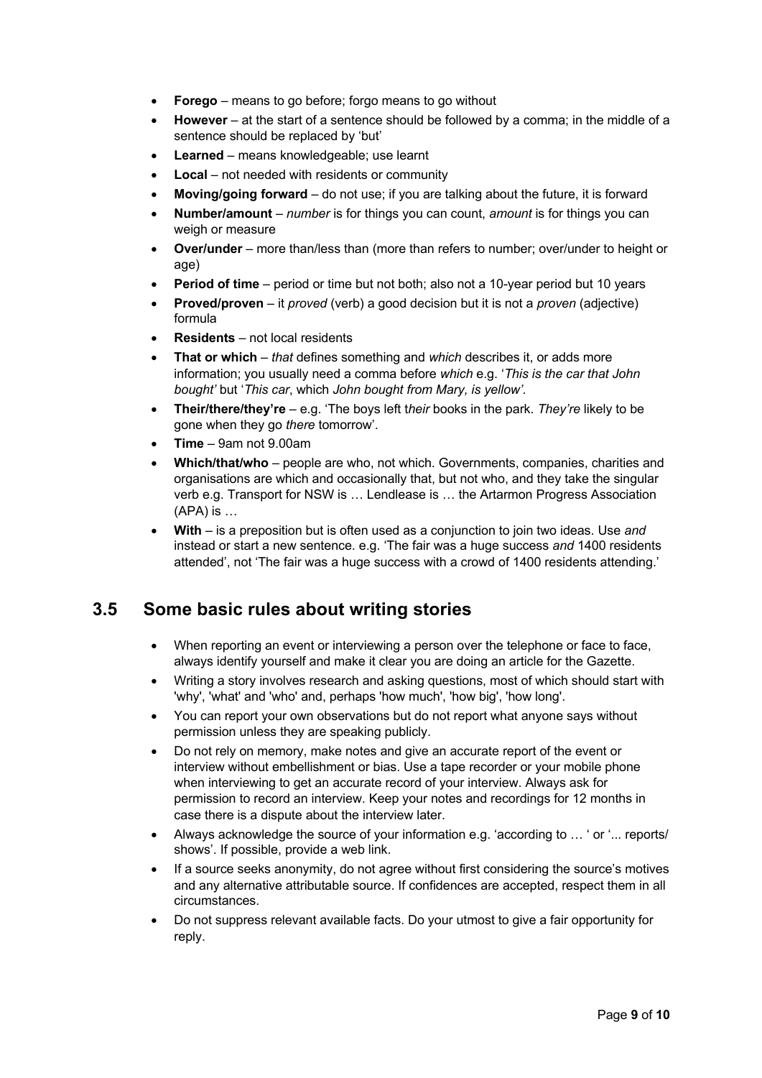- **Forego** means to go before; forgo means to go without
- **However** at the start of a sentence should be followed by a comma; in the middle of a sentence should be replaced by 'but'
- **Learned** means knowledgeable; use learnt
- **Local** not needed with residents or community
- **Moving/going forward** do not use; if you are talking about the future, it is forward
- **Number/amount** *number* is for things you can count, *amount* is for things you can weigh or measure
- **Over/under** more than/less than (more than refers to number; over/under to height or age)
- **Period of time** period or time but not both; also not a 10-year period but 10 years
- **Proved/proven** it *proved* (verb) a good decision but it is not a *proven* (adjective) formula
- **Residents** not local residents
- **That or which** *that* defines something and *which* describes it, or adds more information; you usually need a comma before *which* e.g. '*This is the car that John bought'* but '*This car*, which *John bought from Mary, is yellow'*.
- **Their/there/they're** e.g. 'The boys left t*heir* books in the park. *They're* likely to be gone when they go *there* tomorrow'.
- **Time** 9am not 9.00am
- **Which/that/who** people are who, not which. Governments, companies, charities and organisations are which and occasionally that, but not who, and they take the singular verb e.g. Transport for NSW is … Lendlease is … the Artarmon Progress Association (APA) is …
- **With**  is a preposition but is often used as a conjunction to join two ideas. Use *and* instead or start a new sentence. e.g. 'The fair was a huge success *and* 1400 residents attended', not 'The fair was a huge success with a crowd of 1400 residents attending.'

## **3.5 Some basic rules about writing stories**

- When reporting an event or interviewing a person over the telephone or face to face, always identify yourself and make it clear you are doing an article for the Gazette.
- Writing a story involves research and asking questions, most of which should start with 'why', 'what' and 'who' and, perhaps 'how much', 'how big', 'how long'.
- You can report your own observations but do not report what anyone says without permission unless they are speaking publicly.
- Do not rely on memory, make notes and give an accurate report of the event or interview without embellishment or bias. Use a tape recorder or your mobile phone when interviewing to get an accurate record of your interview. Always ask for permission to record an interview. Keep your notes and recordings for 12 months in case there is a dispute about the interview later.
- Always acknowledge the source of your information e.g. 'according to … ' or '... reports/ shows'. If possible, provide a web link.
- If a source seeks anonymity, do not agree without first considering the source's motives and any alternative attributable source. If confidences are accepted, respect them in all circumstances.
- Do not suppress relevant available facts. Do your utmost to give a fair opportunity for reply.